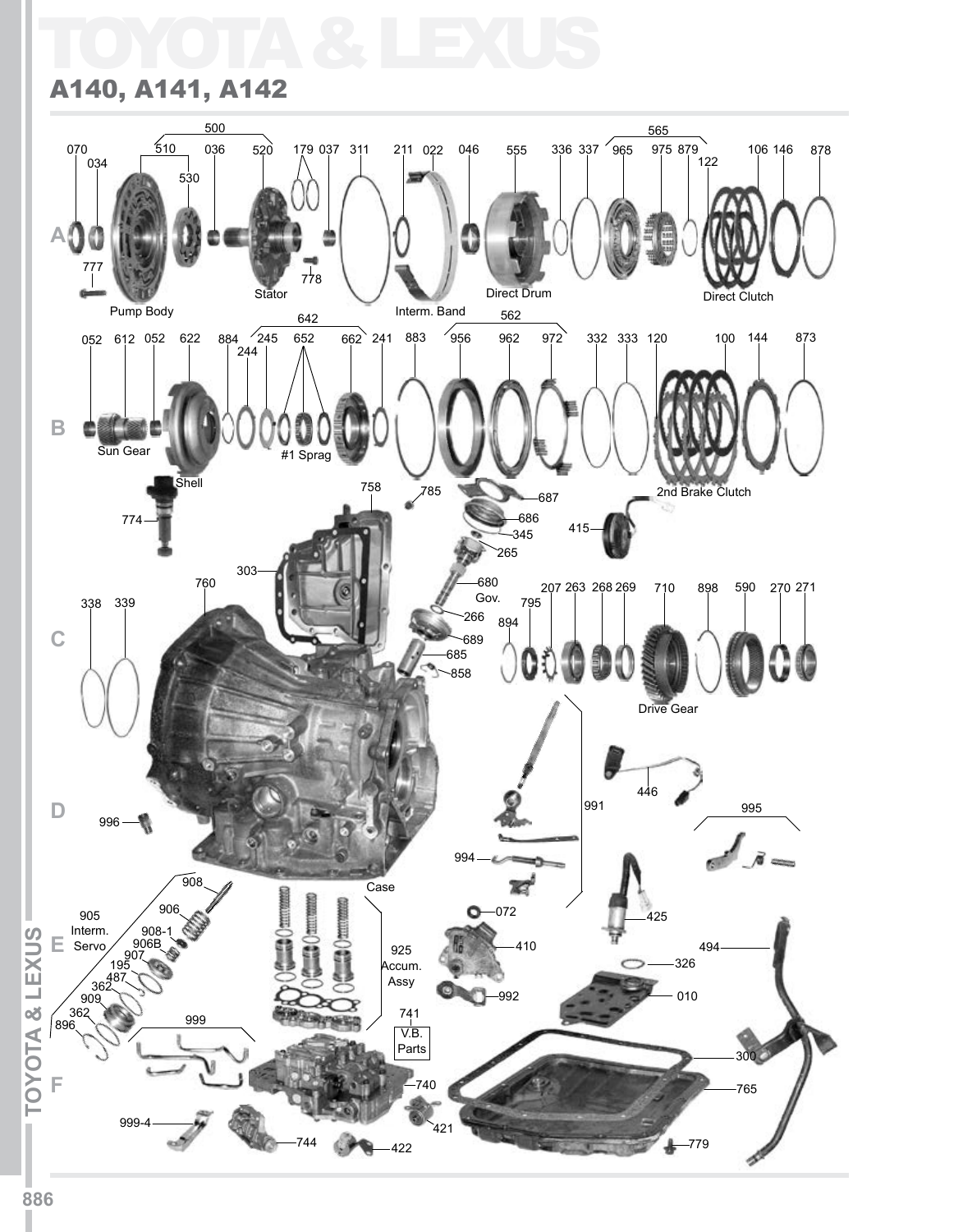## TOYOTA & LEXUS A140, A141, A142

## 036 520 179 037 311 022 046 555 336 337 965 146 **A** Direct Drum Direct Clutch **Stator** Pump Body Interm. Band  $884 \begin{array}{c} 244 \ \hline 1 \ 244 \end{array}$  883 956 962 972 332 333 052 612 052 622 100 144 662 652 **B** Sun Gear #1 Sprac Shell 2nd Brake Clutch a. 263 710 898 590 271 269 270 Gov. 339 **C** Drive Gear **D** Case **Comment Permitted ITOYOTA & LEXUSI** Interm. **TOYOTA & LEXUS** ╱ 908-1<br>\_906B<br>907 E Servo Accum. Assy ՜ 362<br>909 **ONG-**  $^{\prime}$  362<br>896 V.B. Parts **F** 999-4